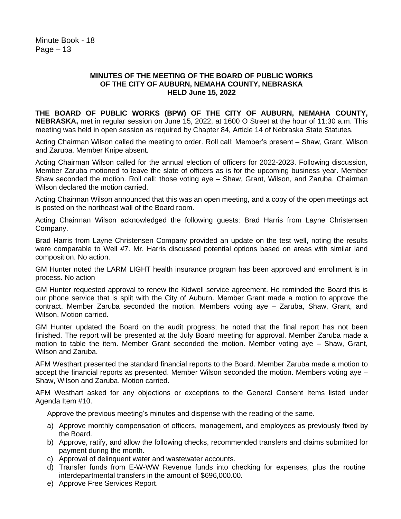## **MINUTES OF THE MEETING OF THE BOARD OF PUBLIC WORKS OF THE CITY OF AUBURN, NEMAHA COUNTY, NEBRASKA HELD June 15, 2022**

**THE BOARD OF PUBLIC WORKS (BPW) OF THE CITY OF AUBURN, NEMAHA COUNTY, NEBRASKA,** met in regular session on June 15, 2022, at 1600 O Street at the hour of 11:30 a.m. This meeting was held in open session as required by Chapter 84, Article 14 of Nebraska State Statutes.

Acting Chairman Wilson called the meeting to order. Roll call: Member's present – Shaw, Grant, Wilson and Zaruba. Member Knipe absent.

Acting Chairman Wilson called for the annual election of officers for 2022-2023. Following discussion, Member Zaruba motioned to leave the slate of officers as is for the upcoming business year. Member Shaw seconded the motion. Roll call: those voting aye – Shaw, Grant, Wilson, and Zaruba. Chairman Wilson declared the motion carried.

Acting Chairman Wilson announced that this was an open meeting, and a copy of the open meetings act is posted on the northeast wall of the Board room.

Acting Chairman Wilson acknowledged the following guests: Brad Harris from Layne Christensen Company.

Brad Harris from Layne Christensen Company provided an update on the test well, noting the results were comparable to Well #7. Mr. Harris discussed potential options based on areas with similar land composition. No action.

GM Hunter noted the LARM LIGHT health insurance program has been approved and enrollment is in process. No action

GM Hunter requested approval to renew the Kidwell service agreement. He reminded the Board this is our phone service that is split with the City of Auburn. Member Grant made a motion to approve the contract. Member Zaruba seconded the motion. Members voting aye – Zaruba, Shaw, Grant, and Wilson. Motion carried.

GM Hunter updated the Board on the audit progress; he noted that the final report has not been finished. The report will be presented at the July Board meeting for approval. Member Zaruba made a motion to table the item. Member Grant seconded the motion. Member voting aye – Shaw, Grant, Wilson and Zaruba.

AFM Westhart presented the standard financial reports to the Board. Member Zaruba made a motion to accept the financial reports as presented. Member Wilson seconded the motion. Members voting aye – Shaw, Wilson and Zaruba. Motion carried.

AFM Westhart asked for any objections or exceptions to the General Consent Items listed under Agenda Item #10.

Approve the previous meeting's minutes and dispense with the reading of the same.

- a) Approve monthly compensation of officers, management, and employees as previously fixed by the Board.
- b) Approve, ratify, and allow the following checks, recommended transfers and claims submitted for payment during the month.
- c) Approval of delinquent water and wastewater accounts.
- d) Transfer funds from E-W-WW Revenue funds into checking for expenses, plus the routine interdepartmental transfers in the amount of \$696,000.00.
- e) Approve Free Services Report.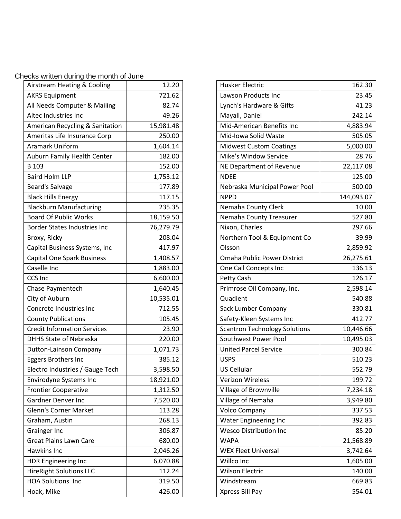Checks written during the month of June

| Airstream Heating & Cooling         | 12.20     |
|-------------------------------------|-----------|
| <b>AKRS Equipment</b>               | 721.62    |
| All Needs Computer & Mailing        | 82.74     |
| Altec Industries Inc                | 49.26     |
| American Recycling & Sanitation     | 15,981.48 |
| Ameritas Life Insurance Corp        | 250.00    |
| <b>Aramark Uniform</b>              | 1,604.14  |
| Auburn Family Health Center         | 182.00    |
| B 103                               | 152.00    |
| <b>Baird Holm LLP</b>               | 1,753.12  |
| Beard's Salvage                     | 177.89    |
|                                     |           |
| <b>Black Hills Energy</b>           | 117.15    |
| <b>Blackburn Manufacturing</b>      | 235.35    |
| <b>Board Of Public Works</b>        | 18,159.50 |
| <b>Border States Industries Inc</b> | 76,279.79 |
| Broxy, Ricky                        | 208.04    |
| Capital Business Systems, Inc       | 417.97    |
| <b>Capital One Spark Business</b>   | 1,408.57  |
| Caselle Inc                         | 1,883.00  |
| <b>CCS Inc</b>                      | 6,600.00  |
| Chase Paymentech                    | 1,640.45  |
| City of Auburn                      | 10,535.01 |
| Concrete Industries Inc             | 712.55    |
| <b>County Publications</b>          | 105.45    |
| <b>Credit Information Services</b>  | 23.90     |
| <b>DHHS State of Nebraska</b>       | 220.00    |
| Dutton-Lainson Company              | 1,071.73  |
| Eggers Brothers Inc                 | 385.12    |
| Electro Industries / Gauge Tech     | 3,598.50  |
| Envirodyne Systems Inc              | 18,921.00 |
| <b>Frontier Cooperative</b>         | 1,312.50  |
| Gardner Denver Inc                  | 7,520.00  |
| <b>Glenn's Corner Market</b>        | 113.28    |
| Graham, Austin                      | 268.13    |
| <b>Grainger Inc</b>                 | 306.87    |
| <b>Great Plains Lawn Care</b>       | 680.00    |
| Hawkins Inc                         | 2,046.26  |
| <b>HDR Engineering Inc</b>          | 6,070.88  |
| <b>HireRight Solutions LLC</b>      | 112.24    |
| <b>HOA Solutions Inc</b>            | 319.50    |
| Hoak, Mike                          | 426.00    |

| <b>Husker Electric</b>               | 162.30     |
|--------------------------------------|------------|
| Lawson Products Inc                  | 23.45      |
| Lynch's Hardware & Gifts             | 41.23      |
| Mayall, Daniel                       | 242.14     |
| Mid-American Benefits Inc            | 4,883.94   |
| Mid-Iowa Solid Waste                 | 505.05     |
| <b>Midwest Custom Coatings</b>       | 5,000.00   |
| <b>Mike's Window Service</b>         | 28.76      |
| NE Department of Revenue             | 22,117.08  |
| <b>NDEE</b>                          | 125.00     |
| Nebraska Municipal Power Pool        | 500.00     |
| <b>NPPD</b>                          | 144,093.07 |
| Nemaha County Clerk                  | 10.00      |
| Nemaha County Treasurer              | 527.80     |
| Nixon, Charles                       | 297.66     |
| Northern Tool & Equipment Co         | 39.99      |
| Olsson                               | 2,859.92   |
| <b>Omaha Public Power District</b>   | 26,275.61  |
| One Call Concepts Inc                | 136.13     |
| Petty Cash                           | 126.17     |
| Primrose Oil Company, Inc.           | 2,598.14   |
| Quadient                             | 540.88     |
| Sack Lumber Company                  | 330.81     |
| Safety-Kleen Systems Inc             | 412.77     |
| <b>Scantron Technology Solutions</b> | 10,446.66  |
| Southwest Power Pool                 | 10,495.03  |
| <b>United Parcel Service</b>         | 300.84     |
| <b>USPS</b>                          | 510.23     |
| <b>US Cellular</b>                   | 552.79     |
| <b>Verizon Wireless</b>              | 199.72     |
| Village of Brownville                | 7,234.18   |
| Village of Nemaha                    | 3,949.80   |
| Volco Company                        | 337.53     |
| Water Engineering Inc                | 392.83     |
| <b>Wesco Distribution Inc</b>        | 85.20      |
| <b>WAPA</b>                          | 21,568.89  |
| <b>WEX Fleet Universal</b>           | 3,742.64   |
| Willco Inc                           | 1,605.00   |
| <b>Wilson Electric</b>               | 140.00     |
| Windstream                           | 669.83     |
| Xpress Bill Pay                      | 554.01     |